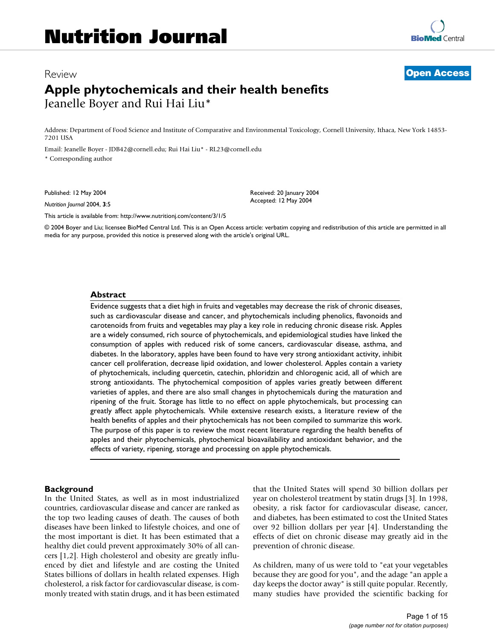# Review **[Open Access](http://www.biomedcentral.com/info/about/charter/) Apple phytochemicals and their health benefits** Jeanelle Boyer and Rui Hai Liu\*

Address: Department of Food Science and Institute of Comparative and Environmental Toxicology, Cornell University, Ithaca, New York 14853- 7201 USA

Email: Jeanelle Boyer - JDB42@cornell.edu; Rui Hai Liu\* - RL23@cornell.edu \* Corresponding author

Published: 12 May 2004

*Nutrition Journal* 2004, **3**:5

[This article is available from: http://www.nutritionj.com/content/3/1/5](http://www.nutritionj.com/content/3/1/5)

© 2004 Boyer and Liu; licensee BioMed Central Ltd. This is an Open Access article: verbatim copying and redistribution of this article are permitted in all media for any purpose, provided this notice is preserved along with the article's original URL.

Received: 20 January 2004 Accepted: 12 May 2004

#### **Abstract**

Evidence suggests that a diet high in fruits and vegetables may decrease the risk of chronic diseases, such as cardiovascular disease and cancer, and phytochemicals including phenolics, flavonoids and carotenoids from fruits and vegetables may play a key role in reducing chronic disease risk. Apples are a widely consumed, rich source of phytochemicals, and epidemiological studies have linked the consumption of apples with reduced risk of some cancers, cardiovascular disease, asthma, and diabetes. In the laboratory, apples have been found to have very strong antioxidant activity, inhibit cancer cell proliferation, decrease lipid oxidation, and lower cholesterol. Apples contain a variety of phytochemicals, including quercetin, catechin, phloridzin and chlorogenic acid, all of which are strong antioxidants. The phytochemical composition of apples varies greatly between different varieties of apples, and there are also small changes in phytochemicals during the maturation and ripening of the fruit. Storage has little to no effect on apple phytochemicals, but processing can greatly affect apple phytochemicals. While extensive research exists, a literature review of the health benefits of apples and their phytochemicals has not been compiled to summarize this work. The purpose of this paper is to review the most recent literature regarding the health benefits of apples and their phytochemicals, phytochemical bioavailability and antioxidant behavior, and the effects of variety, ripening, storage and processing on apple phytochemicals.

#### **Background**

In the United States, as well as in most industrialized countries, cardiovascular disease and cancer are ranked as the top two leading causes of death. The causes of both diseases have been linked to lifestyle choices, and one of the most important is diet. It has been estimated that a healthy diet could prevent approximately 30% of all cancers [1,2]. High cholesterol and obesity are greatly influenced by diet and lifestyle and are costing the United States billions of dollars in health related expenses. High cholesterol, a risk factor for cardiovascular disease, is commonly treated with statin drugs, and it has been estimated that the United States will spend 30 billion dollars per year on cholesterol treatment by statin drugs [3]. In 1998, obesity, a risk factor for cardiovascular disease, cancer, and diabetes, has been estimated to cost the United States over 92 billion dollars per year [4]. Understanding the effects of diet on chronic disease may greatly aid in the prevention of chronic disease.

As children, many of us were told to "eat your vegetables because they are good for you", and the adage "an apple a day keeps the doctor away" is still quite popular. Recently, many studies have provided the scientific backing for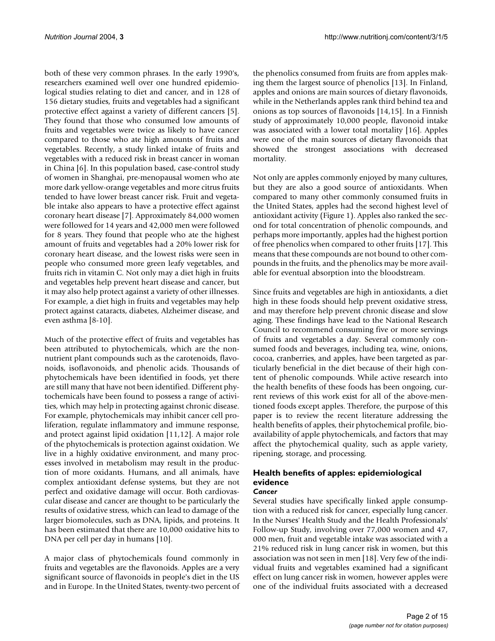both of these very common phrases. In the early 1990's, researchers examined well over one hundred epidemiological studies relating to diet and cancer, and in 128 of 156 dietary studies, fruits and vegetables had a significant protective effect against a variety of different cancers [5]. They found that those who consumed low amounts of fruits and vegetables were twice as likely to have cancer compared to those who ate high amounts of fruits and vegetables. Recently, a study linked intake of fruits and vegetables with a reduced risk in breast cancer in woman in China [6]. In this population based, case-control study of women in Shanghai, pre-menopausal women who ate more dark yellow-orange vegetables and more citrus fruits tended to have lower breast cancer risk. Fruit and vegetable intake also appears to have a protective effect against coronary heart disease [7]. Approximately 84,000 women were followed for 14 years and 42,000 men were followed for 8 years. They found that people who ate the highest amount of fruits and vegetables had a 20% lower risk for coronary heart disease, and the lowest risks were seen in people who consumed more green leafy vegetables, and fruits rich in vitamin C. Not only may a diet high in fruits and vegetables help prevent heart disease and cancer, but it may also help protect against a variety of other illnesses. For example, a diet high in fruits and vegetables may help protect against cataracts, diabetes, Alzheimer disease, and even asthma [8-10].

Much of the protective effect of fruits and vegetables has been attributed to phytochemicals, which are the nonnutrient plant compounds such as the carotenoids, flavonoids, isoflavonoids, and phenolic acids. Thousands of phytochemicals have been identified in foods, yet there are still many that have not been identified. Different phytochemicals have been found to possess a range of activities, which may help in protecting against chronic disease. For example, phytochemicals may inhibit cancer cell proliferation, regulate inflammatory and immune response, and protect against lipid oxidation [11,12]. A major role of the phytochemicals is protection against oxidation. We live in a highly oxidative environment, and many processes involved in metabolism may result in the production of more oxidants. Humans, and all animals, have complex antioxidant defense systems, but they are not perfect and oxidative damage will occur. Both cardiovascular disease and cancer are thought to be particularly the results of oxidative stress, which can lead to damage of the larger biomolecules, such as DNA, lipids, and proteins. It has been estimated that there are 10,000 oxidative hits to DNA per cell per day in humans [10].

A major class of phytochemicals found commonly in fruits and vegetables are the flavonoids. Apples are a very significant source of flavonoids in people's diet in the US and in Europe. In the United States, twenty-two percent of the phenolics consumed from fruits are from apples making them the largest source of phenolics [13]. In Finland, apples and onions are main sources of dietary flavonoids, while in the Netherlands apples rank third behind tea and onions as top sources of flavonoids [14,15]. In a Finnish study of approximately 10,000 people, flavonoid intake was associated with a lower total mortality [16]. Apples were one of the main sources of dietary flavonoids that showed the strongest associations with decreased mortality.

Not only are apples commonly enjoyed by many cultures, but they are also a good source of antioxidants. When compared to many other commonly consumed fruits in the United States, apples had the second highest level of antioxidant activity (Figure [1](#page-2-0)). Apples also ranked the second for total concentration of phenolic compounds, and perhaps more importantly, apples had the highest portion of free phenolics when compared to other fruits [17]. This means that these compounds are not bound to other compounds in the fruits, and the phenolics may be more available for eventual absorption into the bloodstream.

Since fruits and vegetables are high in antioxidants, a diet high in these foods should help prevent oxidative stress, and may therefore help prevent chronic disease and slow aging. These findings have lead to the National Research Council to recommend consuming five or more servings of fruits and vegetables a day. Several commonly consumed foods and beverages, including tea, wine, onions, cocoa, cranberries, and apples, have been targeted as particularly beneficial in the diet because of their high content of phenolic compounds. While active research into the health benefits of these foods has been ongoing, current reviews of this work exist for all of the above-mentioned foods except apples. Therefore, the purpose of this paper is to review the recent literature addressing the health benefits of apples, their phytochemical profile, bioavailability of apple phytochemicals, and factors that may affect the phytochemical quality, such as apple variety, ripening, storage, and processing.

#### **Health benefits of apples: epidemiological evidence** *Cancer*

Several studies have specifically linked apple consumption with a reduced risk for cancer, especially lung cancer. In the Nurses' Health Study and the Health Professionals' Follow-up Study, involving over 77,000 women and 47, 000 men, fruit and vegetable intake was associated with a 21% reduced risk in lung cancer risk in women, but this association was not seen in men [18]. Very few of the individual fruits and vegetables examined had a significant effect on lung cancer risk in women, however apples were one of the individual fruits associated with a decreased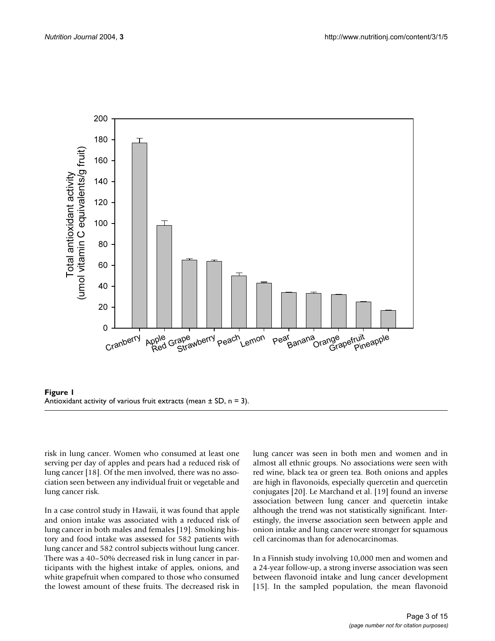<span id="page-2-0"></span>

Figure 1 Antioxidant activity of various fruit extracts (mean  $\pm$  SD, n = 3).

risk in lung cancer. Women who consumed at least one serving per day of apples and pears had a reduced risk of lung cancer [18]. Of the men involved, there was no association seen between any individual fruit or vegetable and lung cancer risk.

In a case control study in Hawaii, it was found that apple and onion intake was associated with a reduced risk of lung cancer in both males and females [19]. Smoking history and food intake was assessed for 582 patients with lung cancer and 582 control subjects without lung cancer. There was a 40–50% decreased risk in lung cancer in participants with the highest intake of apples, onions, and white grapefruit when compared to those who consumed the lowest amount of these fruits. The decreased risk in lung cancer was seen in both men and women and in almost all ethnic groups. No associations were seen with red wine, black tea or green tea. Both onions and apples are high in flavonoids, especially quercetin and quercetin conjugates [20]. Le Marchand et al. [19] found an inverse association between lung cancer and quercetin intake although the trend was not statistically significant. Interestingly, the inverse association seen between apple and onion intake and lung cancer were stronger for squamous cell carcinomas than for adenocarcinomas.

In a Finnish study involving 10,000 men and women and a 24-year follow-up, a strong inverse association was seen between flavonoid intake and lung cancer development [15]. In the sampled population, the mean flavonoid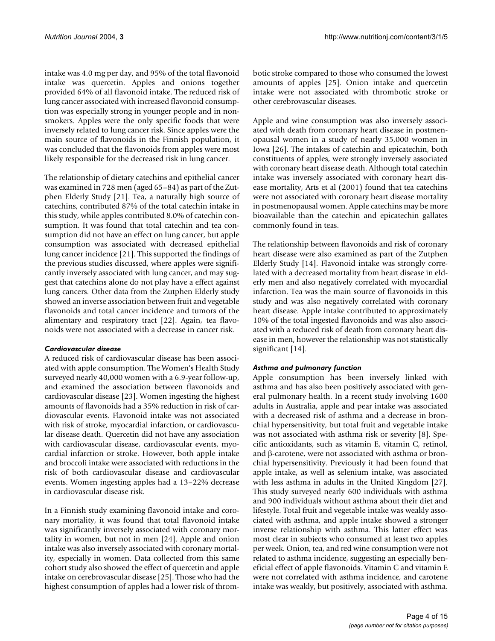intake was 4.0 mg per day, and 95% of the total flavonoid intake was quercetin. Apples and onions together provided 64% of all flavonoid intake. The reduced risk of lung cancer associated with increased flavonoid consumption was especially strong in younger people and in nonsmokers. Apples were the only specific foods that were inversely related to lung cancer risk. Since apples were the main source of flavonoids in the Finnish population, it was concluded that the flavonoids from apples were most likely responsible for the decreased risk in lung cancer.

The relationship of dietary catechins and epithelial cancer was examined in 728 men (aged 65–84) as part of the Zutphen Elderly Study [21]. Tea, a naturally high source of catechins, contributed 87% of the total catechin intake in this study, while apples contributed 8.0% of catechin consumption. It was found that total catechin and tea consumption did not have an effect on lung cancer, but apple consumption was associated with decreased epithelial lung cancer incidence [21]. This supported the findings of the previous studies discussed, where apples were significantly inversely associated with lung cancer, and may suggest that catechins alone do not play have a effect against lung cancers. Other data from the Zutphen Elderly study showed an inverse association between fruit and vegetable flavonoids and total cancer incidence and tumors of the alimentary and respiratory tract [22]. Again, tea flavonoids were not associated with a decrease in cancer risk.

## *Cardiovascular disease*

A reduced risk of cardiovascular disease has been associated with apple consumption. The Women's Health Study surveyed nearly 40,000 women with a 6.9-year follow-up, and examined the association between flavonoids and cardiovascular disease [23]. Women ingesting the highest amounts of flavonoids had a 35% reduction in risk of cardiovascular events. Flavonoid intake was not associated with risk of stroke, myocardial infarction, or cardiovascular disease death. Quercetin did not have any association with cardiovascular disease, cardiovascular events, myocardial infarction or stroke. However, both apple intake and broccoli intake were associated with reductions in the risk of both cardiovascular disease and cardiovascular events. Women ingesting apples had a 13–22% decrease in cardiovascular disease risk.

In a Finnish study examining flavonoid intake and coronary mortality, it was found that total flavonoid intake was significantly inversely associated with coronary mortality in women, but not in men [24]. Apple and onion intake was also inversely associated with coronary mortality, especially in women. Data collected from this same cohort study also showed the effect of quercetin and apple intake on cerebrovascular disease [25]. Those who had the highest consumption of apples had a lower risk of thrombotic stroke compared to those who consumed the lowest amounts of apples [25]. Onion intake and quercetin intake were not associated with thrombotic stroke or other cerebrovascular diseases.

Apple and wine consumption was also inversely associated with death from coronary heart disease in postmenopausal women in a study of nearly 35,000 women in Iowa [26]. The intakes of catechin and epicatechin, both constituents of apples, were strongly inversely associated with coronary heart disease death. Although total catechin intake was inversely associated with coronary heart disease mortality, Arts et al (2001) found that tea catechins were not associated with coronary heart disease mortality in postmenopausal women. Apple catechins may be more bioavailable than the catechin and epicatechin gallates commonly found in teas.

The relationship between flavonoids and risk of coronary heart disease were also examined as part of the Zutphen Elderly Study [14]. Flavonoid intake was strongly correlated with a decreased mortality from heart disease in elderly men and also negatively correlated with myocardial infarction. Tea was the main source of flavonoids in this study and was also negatively correlated with coronary heart disease. Apple intake contributed to approximately 10% of the total ingested flavonoids and was also associated with a reduced risk of death from coronary heart disease in men, however the relationship was not statistically significant [14].

## *Asthma and pulmonary function*

Apple consumption has been inversely linked with asthma and has also been positively associated with general pulmonary health. In a recent study involving 1600 adults in Australia, apple and pear intake was associated with a decreased risk of asthma and a decrease in bronchial hypersensitivity, but total fruit and vegetable intake was not associated with asthma risk or severity [8]. Specific antioxidants, such as vitamin E, vitamin C, retinol, and β-carotene, were not associated with asthma or bronchial hypersensitivity. Previously it had been found that apple intake, as well as selenium intake, was associated with less asthma in adults in the United Kingdom [27]. This study surveyed nearly 600 individuals with asthma and 900 individuals without asthma about their diet and lifestyle. Total fruit and vegetable intake was weakly associated with asthma, and apple intake showed a stronger inverse relationship with asthma. This latter effect was most clear in subjects who consumed at least two apples per week. Onion, tea, and red wine consumption were not related to asthma incidence, suggesting an especially beneficial effect of apple flavonoids. Vitamin C and vitamin E were not correlated with asthma incidence, and carotene intake was weakly, but positively, associated with asthma.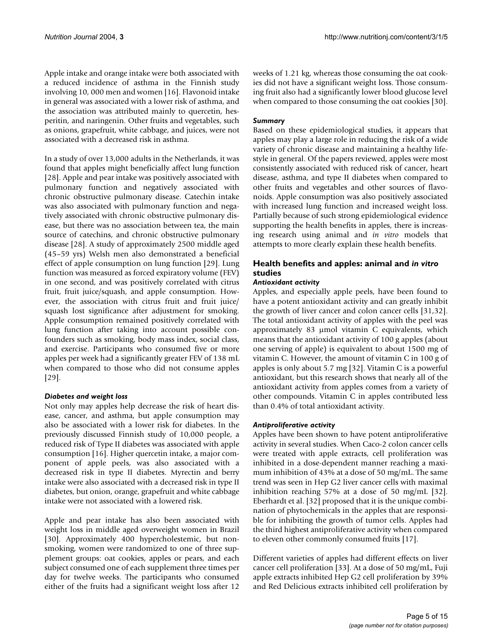Apple intake and orange intake were both associated with a reduced incidence of asthma in the Finnish study involving 10, 000 men and women [16]. Flavonoid intake in general was associated with a lower risk of asthma, and the association was attributed mainly to quercetin, hesperitin, and naringenin. Other fruits and vegetables, such as onions, grapefruit, white cabbage, and juices, were not associated with a decreased risk in asthma.

In a study of over 13,000 adults in the Netherlands, it was found that apples might beneficially affect lung function [28]. Apple and pear intake was positively associated with pulmonary function and negatively associated with chronic obstructive pulmonary disease. Catechin intake was also associated with pulmonary function and negatively associated with chronic obstructive pulmonary disease, but there was no association between tea, the main source of catechins, and chronic obstructive pulmonary disease [28]. A study of approximately 2500 middle aged (45–59 yrs) Welsh men also demonstrated a beneficial effect of apple consumption on lung function [29]. Lung function was measured as forced expiratory volume (FEV) in one second, and was positively correlated with citrus fruit, fruit juice/squash, and apple consumption. However, the association with citrus fruit and fruit juice/ squash lost significance after adjustment for smoking. Apple consumption remained positively correlated with lung function after taking into account possible confounders such as smoking, body mass index, social class, and exercise. Participants who consumed five or more apples per week had a significantly greater FEV of 138 mL when compared to those who did not consume apples [29].

## *Diabetes and weight loss*

Not only may apples help decrease the risk of heart disease, cancer, and asthma, but apple consumption may also be associated with a lower risk for diabetes. In the previously discussed Finnish study of 10,000 people, a reduced risk of Type II diabetes was associated with apple consumption [16]. Higher quercetin intake, a major component of apple peels, was also associated with a decreased risk in type II diabetes. Myrectin and berry intake were also associated with a decreased risk in type II diabetes, but onion, orange, grapefruit and white cabbage intake were not associated with a lowered risk.

Apple and pear intake has also been associated with weight loss in middle aged overweight women in Brazil [30]. Approximately 400 hypercholestemic, but nonsmoking, women were randomized to one of three supplement groups: oat cookies, apples or pears, and each subject consumed one of each supplement three times per day for twelve weeks. The participants who consumed either of the fruits had a significant weight loss after 12

weeks of 1.21 kg, whereas those consuming the oat cookies did not have a significant weight loss. Those consuming fruit also had a significantly lower blood glucose level when compared to those consuming the oat cookies [30].

## *Summary*

Based on these epidemiological studies, it appears that apples may play a large role in reducing the risk of a wide variety of chronic disease and maintaining a healthy lifestyle in general. Of the papers reviewed, apples were most consistently associated with reduced risk of cancer, heart disease, asthma, and type II diabetes when compared to other fruits and vegetables and other sources of flavonoids. Apple consumption was also positively associated with increased lung function and increased weight loss. Partially because of such strong epidemiological evidence supporting the health benefits in apples, there is increasing research using animal and *in vitro* models that attempts to more clearly explain these health benefits.

# **Health benefits and apples: animal and** *in vitro*  **studies**

## *Antioxidant activity*

Apples, and especially apple peels, have been found to have a potent antioxidant activity and can greatly inhibit the growth of liver cancer and colon cancer cells [31,32]. The total antioxidant activity of apples with the peel was approximately 83 µmol vitamin C equivalents, which means that the antioxidant activity of 100 g apples (about one serving of apple) is equivalent to about 1500 mg of vitamin C. However, the amount of vitamin C in 100 g of apples is only about 5.7 mg [32]. Vitamin C is a powerful antioxidant, but this research shows that nearly all of the antioxidant activity from apples comes from a variety of other compounds. Vitamin C in apples contributed less than 0.4% of total antioxidant activity.

## *Antiproliferative activity*

Apples have been shown to have potent antiproliferative activity in several studies. When Caco-2 colon cancer cells were treated with apple extracts, cell proliferation was inhibited in a dose-dependent manner reaching a maximum inhibition of 43% at a dose of 50 mg/mL. The same trend was seen in Hep G2 liver cancer cells with maximal inhibition reaching 57% at a dose of 50 mg/mL [32]. Eberhardt et al. [32] proposed that it is the unique combination of phytochemicals in the apples that are responsible for inhibiting the growth of tumor cells. Apples had the third highest antiproliferative activity when compared to eleven other commonly consumed fruits [17].

Different varieties of apples had different effects on liver cancer cell proliferation [33]. At a dose of 50 mg/mL, Fuji apple extracts inhibited Hep G2 cell proliferation by 39% and Red Delicious extracts inhibited cell proliferation by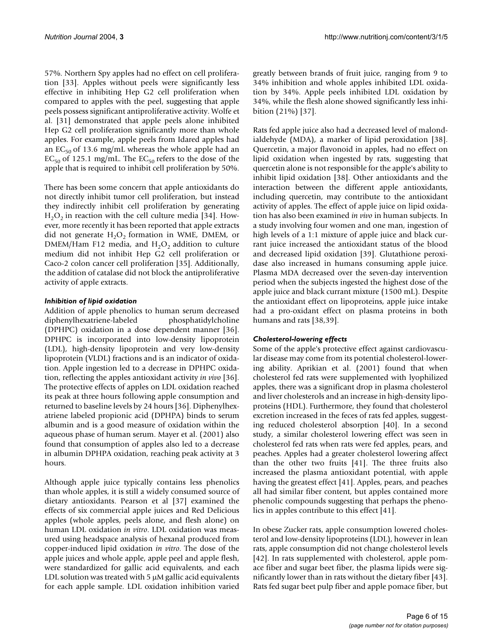57%. Northern Spy apples had no effect on cell proliferation [33]. Apples without peels were significantly less effective in inhibiting Hep G2 cell proliferation when compared to apples with the peel, suggesting that apple peels possess significant antiproliferative activity. Wolfe et al. [31] demonstrated that apple peels alone inhibited Hep G2 cell proliferation significantly more than whole apples. For example, apple peels from Idared apples had an  $EC_{50}$  of 13.6 mg/mL whereas the whole apple had an  $EC_{50}$  of 125.1 mg/mL. The  $EC_{50}$  refers to the dose of the apple that is required to inhibit cell proliferation by 50%.

There has been some concern that apple antioxidants do not directly inhibit tumor cell proliferation, but instead they indirectly inhibit cell proliferation by generating  $H<sub>2</sub>O<sub>2</sub>$  in reaction with the cell culture media [34]. However, more recently it has been reported that apple extracts did not generate  $H_2O_2$  formation in WME, DMEM, or DMEM/Ham F12 media, and  $H_2O_2$  addition to culture medium did not inhibit Hep G2 cell proliferation or Caco-2 colon cancer cell proliferation [35]. Additionally, the addition of catalase did not block the antiproliferative activity of apple extracts.

# *Inhibition of lipid oxidation*

Addition of apple phenolics to human serum decreased diphenylhexatriene-labeled phosphatidylcholine (DPHPC) oxidation in a dose dependent manner [36]. DPHPC is incorporated into low-density lipoprotein (LDL), high-density lipoprotein and very low-density lipoprotein (VLDL) fractions and is an indicator of oxidation. Apple ingestion led to a decrease in DPHPC oxidation, reflecting the apples antioxidant activity *in vivo* [36]. The protective effects of apples on LDL oxidation reached its peak at three hours following apple consumption and returned to baseline levels by 24 hours [36]. Diphenylhexatriene labeled propionic acid (DPHPA) binds to serum albumin and is a good measure of oxidation within the aqueous phase of human serum. Mayer et al. (2001) also found that consumption of apples also led to a decrease in albumin DPHPA oxidation, reaching peak activity at 3 hours.

Although apple juice typically contains less phenolics than whole apples, it is still a widely consumed source of dietary antioxidants. Pearson et al [37] examined the effects of six commercial apple juices and Red Delicious apples (whole apples, peels alone, and flesh alone) on human LDL oxidation *in vitro*. LDL oxidation was measured using headspace analysis of hexanal produced from copper-induced lipid oxidation *in vitro*. The dose of the apple juices and whole apple, apple peel and apple flesh, were standardized for gallic acid equivalents, and each LDL solution was treated with 5  $\mu$ M gallic acid equivalents for each apple sample. LDL oxidation inhibition varied

greatly between brands of fruit juice, ranging from 9 to 34% inhibition and whole apples inhibited LDL oxidation by 34%. Apple peels inhibited LDL oxidation by 34%, while the flesh alone showed significantly less inhibition (21%) [37].

Rats fed apple juice also had a decreased level of malondialdehyde (MDA), a marker of lipid peroxidation [38]. Quercetin, a major flavonoid in apples, had no effect on lipid oxidation when ingested by rats, suggesting that quercetin alone is not responsible for the apple's ability to inhibit lipid oxidation [38]. Other antioxidants and the interaction between the different apple antioxidants, including quercetin, may contribute to the antioxidant activity of apples. The effect of apple juice on lipid oxidation has also been examined *in vivo* in human subjects. In a study involving four women and one man, ingestion of high levels of a 1:1 mixture of apple juice and black currant juice increased the antioxidant status of the blood and decreased lipid oxidation [39]. Glutathione peroxidase also increased in humans consuming apple juice. Plasma MDA decreased over the seven-day intervention period when the subjects ingested the highest dose of the apple juice and black currant mixture (1500 mL). Despite the antioxidant effect on lipoproteins, apple juice intake had a pro-oxidant effect on plasma proteins in both humans and rats [38,39].

# *Cholesterol-lowering effects*

Some of the apple's protective effect against cardiovascular disease may come from its potential cholesterol-lowering ability. Aprikian et al. (2001) found that when cholesterol fed rats were supplemented with lyophilized apples, there was a significant drop in plasma cholesterol and liver cholesterols and an increase in high-density lipoproteins (HDL). Furthermore, they found that cholesterol excretion increased in the feces of rats fed apples, suggesting reduced cholesterol absorption [40]. In a second study, a similar cholesterol lowering effect was seen in cholesterol fed rats when rats were fed apples, pears, and peaches. Apples had a greater cholesterol lowering affect than the other two fruits [41]. The three fruits also increased the plasma antioxidant potential, with apple having the greatest effect [41]. Apples, pears, and peaches all had similar fiber content, but apples contained more phenolic compounds suggesting that perhaps the phenolics in apples contribute to this effect [41].

In obese Zucker rats, apple consumption lowered cholesterol and low-density lipoproteins (LDL), however in lean rats, apple consumption did not change cholesterol levels [42]. In rats supplemented with cholesterol, apple pomace fiber and sugar beet fiber, the plasma lipids were significantly lower than in rats without the dietary fiber [43]. Rats fed sugar beet pulp fiber and apple pomace fiber, but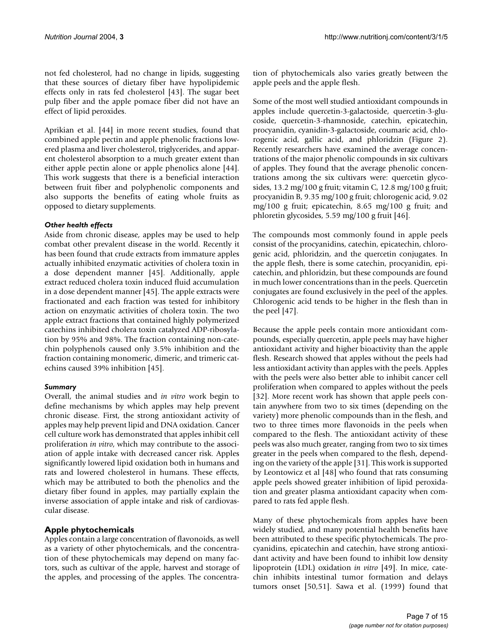not fed cholesterol, had no change in lipids, suggesting that these sources of dietary fiber have hypolipidemic effects only in rats fed cholesterol [43]. The sugar beet pulp fiber and the apple pomace fiber did not have an effect of lipid peroxides.

Aprikian et al. [44] in more recent studies, found that combined apple pectin and apple phenolic fractions lowered plasma and liver cholesterol, triglycerides, and apparent cholesterol absorption to a much greater extent than either apple pectin alone or apple phenolics alone [44]. This work suggests that there is a beneficial interaction between fruit fiber and polyphenolic components and also supports the benefits of eating whole fruits as opposed to dietary supplements.

## *Other health effects*

Aside from chronic disease, apples may be used to help combat other prevalent disease in the world. Recently it has been found that crude extracts from immature apples actually inhibited enzymatic activities of cholera toxin in a dose dependent manner [45]. Additionally, apple extract reduced cholera toxin induced fluid accumulation in a dose dependent manner [45]. The apple extracts were fractionated and each fraction was tested for inhibitory action on enzymatic activities of cholera toxin. The two apple extract fractions that contained highly polymerized catechins inhibited cholera toxin catalyzed ADP-ribosylation by 95% and 98%. The fraction containing non-catechin polyphenols caused only 3.5% inhibition and the fraction containing monomeric, dimeric, and trimeric catechins caused 39% inhibition [45].

## *Summary*

Overall, the animal studies and *in vitro* work begin to define mechanisms by which apples may help prevent chronic disease. First, the strong antioxidant activity of apples may help prevent lipid and DNA oxidation. Cancer cell culture work has demonstrated that apples inhibit cell proliferation *in vitro*, which may contribute to the association of apple intake with decreased cancer risk. Apples significantly lowered lipid oxidation both in humans and rats and lowered cholesterol in humans. These effects, which may be attributed to both the phenolics and the dietary fiber found in apples, may partially explain the inverse association of apple intake and risk of cardiovascular disease.

## **Apple phytochemicals**

Apples contain a large concentration of flavonoids, as well as a variety of other phytochemicals, and the concentration of these phytochemicals may depend on many factors, such as cultivar of the apple, harvest and storage of the apples, and processing of the apples. The concentration of phytochemicals also varies greatly between the apple peels and the apple flesh.

Some of the most well studied antioxidant compounds in apples include quercetin-3-galactoside, quercetin-3-glucoside, quercetin-3-rhamnoside, catechin, epicatechin, procyanidin, cyanidin-3-galactoside, coumaric acid, chlorogenic acid, gallic acid, and phloridzin (Figure [2\)](#page-7-0). Recently researchers have examined the average concentrations of the major phenolic compounds in six cultivars of apples. They found that the average phenolic concentrations among the six cultivars were: quercetin glycosides, 13.2 mg/100 g fruit; vitamin C, 12.8 mg/100 g fruit; procyanidin B, 9.35 mg/100 g fruit; chlorogenic acid, 9.02 mg/100 g fruit; epicatechin, 8.65 mg/100 g fruit; and phloretin glycosides, 5.59 mg/100 g fruit [46].

The compounds most commonly found in apple peels consist of the procyanidins, catechin, epicatechin, chlorogenic acid, phloridzin, and the quercetin conjugates. In the apple flesh, there is some catechin, procyanidin, epicatechin, and phloridzin, but these compounds are found in much lower concentrations than in the peels. Quercetin conjugates are found exclusively in the peel of the apples. Chlorogenic acid tends to be higher in the flesh than in the peel [47].

Because the apple peels contain more antioxidant compounds, especially quercetin, apple peels may have higher antioxidant activity and higher bioactivity than the apple flesh. Research showed that apples without the peels had less antioxidant activity than apples with the peels. Apples with the peels were also better able to inhibit cancer cell proliferation when compared to apples without the peels [32]. More recent work has shown that apple peels contain anywhere from two to six times (depending on the variety) more phenolic compounds than in the flesh, and two to three times more flavonoids in the peels when compared to the flesh. The antioxidant activity of these peels was also much greater, ranging from two to six times greater in the peels when compared to the flesh, depending on the variety of the apple [31]. This work is supported by Leontowicz et al [48] who found that rats consuming apple peels showed greater inhibition of lipid peroxidation and greater plasma antioxidant capacity when compared to rats fed apple flesh.

Many of these phytochemicals from apples have been widely studied, and many potential health benefits have been attributed to these specific phytochemicals. The procyanidins, epicatechin and catechin, have strong antioxidant activity and have been found to inhibit low density lipoprotein (LDL) oxidation *in vitro* [49]. In mice, catechin inhibits intestinal tumor formation and delays tumors onset [50,51]. Sawa et al. (1999) found that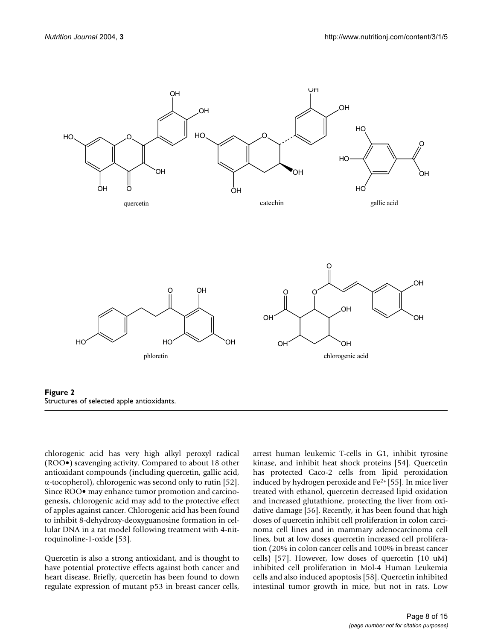<span id="page-7-0"></span>

chlorogenic acid has very high alkyl peroxyl radical (ROO•) scavenging activity. Compared to about 18 other antioxidant compounds (including quercetin, gallic acid,  $\alpha$ -tocopherol), chlorogenic was second only to rutin [52]. Since ROO• may enhance tumor promotion and carcinogenesis, chlorogenic acid may add to the protective effect of apples against cancer. Chlorogenic acid has been found to inhibit 8-dehydroxy-deoxyguanosine formation in cellular DNA in a rat model following treatment with 4-nitroquinoline-1-oxide [53].

Quercetin is also a strong antioxidant, and is thought to have potential protective effects against both cancer and heart disease. Briefly, quercetin has been found to down regulate expression of mutant p53 in breast cancer cells,

arrest human leukemic T-cells in G1, inhibit tyrosine kinase, and inhibit heat shock proteins [54]. Quercetin has protected Caco-2 cells from lipid peroxidation induced by hydrogen peroxide and Fe2+ [55]. In mice liver treated with ethanol, quercetin decreased lipid oxidation and increased glutathione, protecting the liver from oxidative damage [56]. Recently, it has been found that high doses of quercetin inhibit cell proliferation in colon carcinoma cell lines and in mammary adenocarcinoma cell lines, but at low doses quercetin increased cell proliferation (20% in colon cancer cells and 100% in breast cancer cells) [57]. However, low doses of quercetin (10 uM) inhibited cell proliferation in Mol-4 Human Leukemia cells and also induced apoptosis [58]. Quercetin inhibited intestinal tumor growth in mice, but not in rats. Low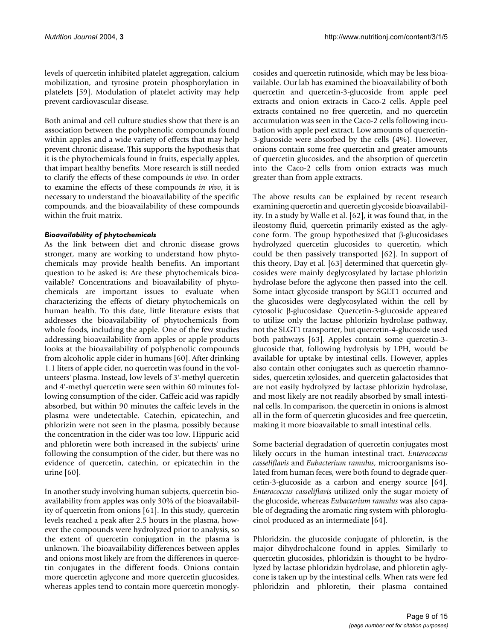levels of quercetin inhibited platelet aggregation, calcium mobilization, and tyrosine protein phosphorylation in platelets [59]. Modulation of platelet activity may help prevent cardiovascular disease.

Both animal and cell culture studies show that there is an association between the polyphenolic compounds found within apples and a wide variety of effects that may help prevent chronic disease. This supports the hypothesis that it is the phytochemicals found in fruits, especially apples, that impart healthy benefits. More research is still needed to clarify the effects of these compounds *in vivo*. In order to examine the effects of these compounds *in vivo*, it is necessary to understand the bioavailability of the specific compounds, and the bioavailability of these compounds within the fruit matrix.

## *Bioavailability of phytochemicals*

As the link between diet and chronic disease grows stronger, many are working to understand how phytochemicals may provide health benefits. An important question to be asked is: Are these phytochemicals bioavailable? Concentrations and bioavailability of phytochemicals are important issues to evaluate when characterizing the effects of dietary phytochemicals on human health. To this date, little literature exists that addresses the bioavailability of phytochemicals from whole foods, including the apple. One of the few studies addressing bioavailability from apples or apple products looks at the bioavailability of polyphenolic compounds from alcoholic apple cider in humans [60]. After drinking 1.1 liters of apple cider, no quercetin was found in the volunteers' plasma. Instead, low levels of 3'-methyl quercetin and 4'-methyl quercetin were seen within 60 minutes following consumption of the cider. Caffeic acid was rapidly absorbed, but within 90 minutes the caffeic levels in the plasma were undetectable. Catechin, epicatechin, and phlorizin were not seen in the plasma, possibly because the concentration in the cider was too low. Hippuric acid and phloretin were both increased in the subjects' urine following the consumption of the cider, but there was no evidence of quercetin, catechin, or epicatechin in the urine [60].

In another study involving human subjects, quercetin bioavailability from apples was only 30% of the bioavailability of quercetin from onions [61]. In this study, quercetin levels reached a peak after 2.5 hours in the plasma, however the compounds were hydrolyzed prior to analysis, so the extent of quercetin conjugation in the plasma is unknown. The bioavailability differences between apples and onions most likely are from the differences in quercetin conjugates in the different foods. Onions contain more quercetin aglycone and more quercetin glucosides, whereas apples tend to contain more quercetin monoglycosides and quercetin rutinoside, which may be less bioavailable. Our lab has examined the bioavailability of both quercetin and quercetin-3-glucoside from apple peel extracts and onion extracts in Caco-2 cells. Apple peel extracts contained no free quercetin, and no quercetin accumulation was seen in the Caco-2 cells following incubation with apple peel extract. Low amounts of quercetin-3-glucoside were absorbed by the cells (4%). However, onions contain some free quercetin and greater amounts of quercetin glucosides, and the absorption of quercetin into the Caco-2 cells from onion extracts was much greater than from apple extracts.

The above results can be explained by recent research examining quercetin and quercetin glycoside bioavailability. In a study by Walle et al. [62], it was found that, in the ileostomy fluid, quercetin primarily existed as the aglycone form. The group hypothesized that β-glucosidases hydrolyzed quercetin glucosides to quercetin, which could be then passively transported [62]. In support of this theory, Day et al. [63] determined that quercetin glycosides were mainly deglycosylated by lactase phlorizin hydrolase before the aglycone then passed into the cell. Some intact glycoside transport by SGLT1 occurred and the glucosides were deglycosylated within the cell by cytosolic β-glucosidase. Quercetin-3-glucoside appeared to utilize only the lactase phlorizin hydrolase pathway, not the SLGT1 transporter, but quercetin-4-glucoside used both pathways [63]. Apples contain some quercetin-3 glucoside that, following hydrolysis by LPH, would be available for uptake by intestinal cells. However, apples also contain other conjugates such as quercetin rhamnosides, quercetin xylosides, and quercetin galactosides that are not easily hydrolyzed by lactase phlorizin hydrolase, and most likely are not readily absorbed by small intestinal cells. In comparison, the quercetin in onions is almost all in the form of quercetin glucosides and free quercetin, making it more bioavailable to small intestinal cells.

Some bacterial degradation of quercetin conjugates most likely occurs in the human intestinal tract. *Enterococcus casseliflavis* and *Eubacterium ramulus*, microorganisms isolated from human feces, were both found to degrade quercetin-3-glucoside as a carbon and energy source [64]. *Enterococcus casseliflavis* utilized only the sugar moiety of the glucoside, whereas *Eubacterium ramulus* was also capable of degrading the aromatic ring system with phloroglucinol produced as an intermediate [64].

Phloridzin, the glucoside conjugate of phloretin, is the major dihydrochalcone found in apples. Similarly to quercetin glucosides, phloridzin is thought to be hydrolyzed by lactase phloridzin hydrolase, and phloretin aglycone is taken up by the intestinal cells. When rats were fed phloridzin and phloretin, their plasma contained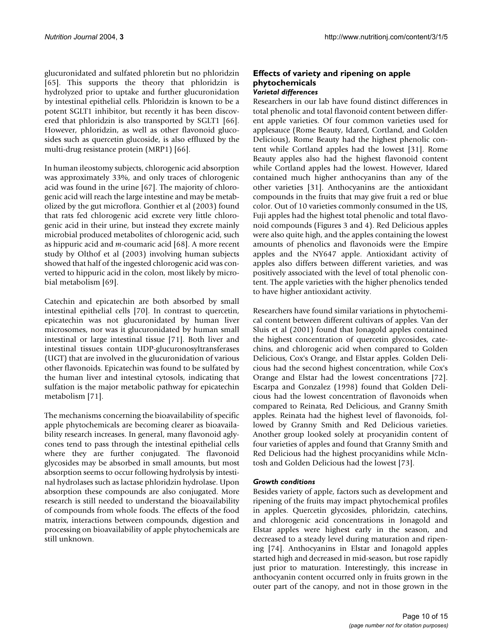glucuronidated and sulfated phloretin but no phloridzin [65]. This supports the theory that phloridzin is hydrolyzed prior to uptake and further glucuronidation by intestinal epithelial cells. Phloridzin is known to be a potent SGLT1 inhibitor, but recently it has been discovered that phloridzin is also transported by SGLT1 [66]. However, phloridzin, as well as other flavonoid glucosides such as quercetin glucoside, is also effluxed by the multi-drug resistance protein (MRP1) [66].

In human ileostomy subjects, chlorogenic acid absorption was approximately 33%, and only traces of chlorogenic acid was found in the urine [67]. The majority of chlorogenic acid will reach the large intestine and may be metabolized by the gut microflora. Gonthier et al (2003) found that rats fed chlorogenic acid excrete very little chlorogenic acid in their urine, but instead they excrete mainly microbial produced metabolites of chlorogenic acid, such as hippuric acid and *m*-coumaric acid [68]. A more recent study by Olthof et al (2003) involving human subjects showed that half of the ingested chlorogenic acid was converted to hippuric acid in the colon, most likely by microbial metabolism [69].

Catechin and epicatechin are both absorbed by small intestinal epithelial cells [70]. In contrast to quercetin, epicatechin was not glucuronidated by human liver microsomes, nor was it glucuronidated by human small intestinal or large intestinal tissue [71]. Both liver and intestinal tissues contain UDP-glucuronosyltransferases (UGT) that are involved in the glucuronidation of various other flavonoids. Epicatechin was found to be sulfated by the human liver and intestinal cytosols, indicating that sulfation is the major metabolic pathway for epicatechin metabolism [71].

The mechanisms concerning the bioavailability of specific apple phytochemicals are becoming clearer as bioavailability research increases. In general, many flavonoid aglycones tend to pass through the intestinal epithelial cells where they are further conjugated. The flavonoid glycosides may be absorbed in small amounts, but most absorption seems to occur following hydrolysis by intestinal hydrolases such as lactase phloridzin hydrolase. Upon absorption these compounds are also conjugated. More research is still needed to understand the bioavailability of compounds from whole foods. The effects of the food matrix, interactions between compounds, digestion and processing on bioavailability of apple phytochemicals are still unknown.

## **Effects of variety and ripening on apple phytochemicals** *Varietal differences*

Researchers in our lab have found distinct differences in total phenolic and total flavonoid content between different apple varieties. Of four common varieties used for applesauce (Rome Beauty, Idared, Cortland, and Golden Delicious), Rome Beauty had the highest phenolic content while Cortland apples had the lowest [31]. Rome Beauty apples also had the highest flavonoid content while Cortland apples had the lowest. However, Idared contained much higher anthocyanins than any of the other varieties [31]. Anthocyanins are the antioxidant compounds in the fruits that may give fruit a red or blue color. Out of 10 varieties commonly consumed in the US, Fuji apples had the highest total phenolic and total flavonoid compounds (Figures [3](#page-10-0) and [4\)](#page-11-0). Red Delicious apples were also quite high, and the apples containing the lowest amounts of phenolics and flavonoids were the Empire apples and the NY647 apple. Antioxidant activity of apples also differs between different varieties, and was positively associated with the level of total phenolic content. The apple varieties with the higher phenolics tended to have higher antioxidant activity.

Researchers have found similar variations in phytochemical content between different cultivars of apples. Van der Sluis et al (2001) found that Jonagold apples contained the highest concentration of quercetin glycosides, catechins, and chlorogenic acid when compared to Golden Delicious, Cox's Orange, and Elstar apples. Golden Delicious had the second highest concentration, while Cox's Orange and Elstar had the lowest concentrations [72]. Escarpa and Gonzalez (1998) found that Golden Delicious had the lowest concentration of flavonoids when compared to Reinata, Red Delicious, and Granny Smith apples. Reinata had the highest level of flavonoids, followed by Granny Smith and Red Delicious varieties. Another group looked solely at procyanidin content of four varieties of apples and found that Granny Smith and Red Delicious had the highest procyanidins while McIntosh and Golden Delicious had the lowest [73].

# *Growth conditions*

Besides variety of apple, factors such as development and ripening of the fruits may impact phytochemical profiles in apples. Quercetin glycosides, phloridzin, catechins, and chlorogenic acid concentrations in Jonagold and Elstar apples were highest early in the season, and decreased to a steady level during maturation and ripening [74]. Anthocyanins in Elstar and Jonagold apples started high and decreased in mid-season, but rose rapidly just prior to maturation. Interestingly, this increase in anthocyanin content occurred only in fruits grown in the outer part of the canopy, and not in those grown in the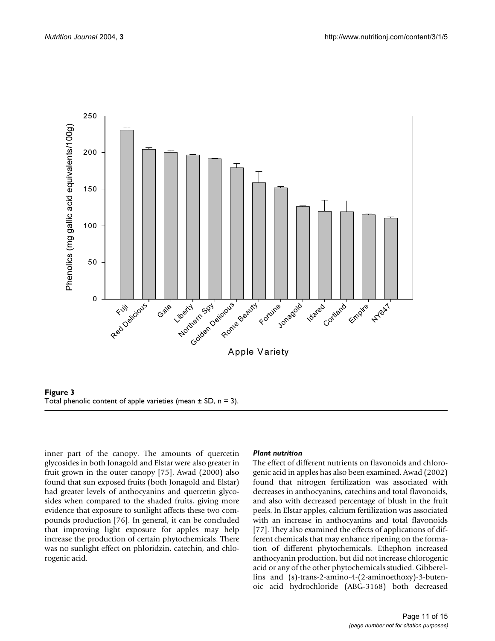<span id="page-10-0"></span>

**Figure 3** Total phenolic content of apple varieties (mean  $\pm$  SD, n = 3).

inner part of the canopy. The amounts of quercetin glycosides in both Jonagold and Elstar were also greater in fruit grown in the outer canopy [75]. Awad (2000) also found that sun exposed fruits (both Jonagold and Elstar) had greater levels of anthocyanins and quercetin glycosides when compared to the shaded fruits, giving more evidence that exposure to sunlight affects these two compounds production [76]. In general, it can be concluded that improving light exposure for apples may help increase the production of certain phytochemicals. There was no sunlight effect on phloridzin, catechin, and chlorogenic acid.

## *Plant nutrition*

The effect of different nutrients on flavonoids and chlorogenic acid in apples has also been examined. Awad (2002) found that nitrogen fertilization was associated with decreases in anthocyanins, catechins and total flavonoids, and also with decreased percentage of blush in the fruit peels. In Elstar apples, calcium fertilization was associated with an increase in anthocyanins and total flavonoids [77]. They also examined the effects of applications of different chemicals that may enhance ripening on the formation of different phytochemicals. Ethephon increased anthocyanin production, but did not increase chlorogenic acid or any of the other phytochemicals studied. Gibberellins and (s)-trans-2-amino-4-(2-aminoethoxy)-3-butenoic acid hydrochloride (ABG-3168) both decreased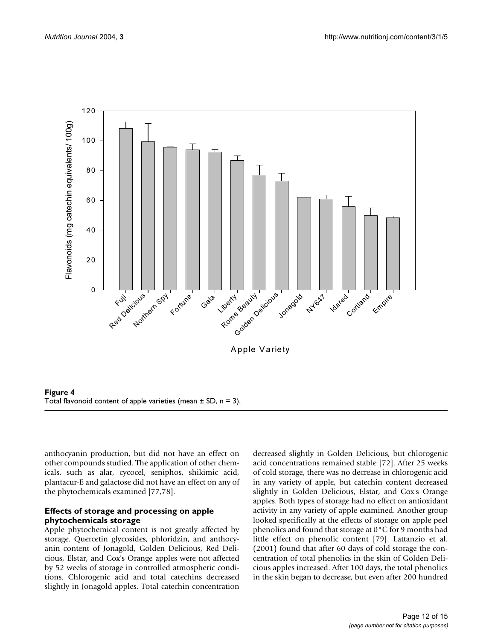<span id="page-11-0"></span>

**Figure 4** Total flavonoid content of apple varieties (mean  $\pm$  SD, n = 3).

anthocyanin production, but did not have an effect on other compounds studied. The application of other chemicals, such as alar, cycocel, seniphos, shikimic acid, plantacur-E and galactose did not have an effect on any of the phytochemicals examined [77,78].

#### **Effects of storage and processing on apple phytochemicals storage**

Apple phytochemical content is not greatly affected by storage. Quercetin glycosides, phloridzin, and anthocyanin content of Jonagold, Golden Delicious, Red Delicious, Elstar, and Cox's Orange apples were not affected by 52 weeks of storage in controlled atmospheric conditions. Chlorogenic acid and total catechins decreased slightly in Jonagold apples. Total catechin concentration

decreased slightly in Golden Delicious, but chlorogenic acid concentrations remained stable [72]. After 25 weeks of cold storage, there was no decrease in chlorogenic acid in any variety of apple, but catechin content decreased slightly in Golden Delicious, Elstar, and Cox's Orange apples. Both types of storage had no effect on antioxidant activity in any variety of apple examined. Another group looked specifically at the effects of storage on apple peel phenolics and found that storage at 0°C for 9 months had little effect on phenolic content [79]. Lattanzio et al. (2001) found that after 60 days of cold storage the concentration of total phenolics in the skin of Golden Delicious apples increased. After 100 days, the total phenolics in the skin began to decrease, but even after 200 hundred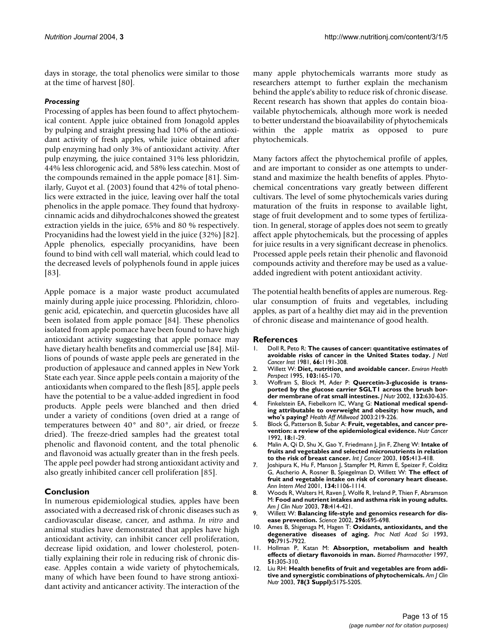days in storage, the total phenolics were similar to those at the time of harvest [80].

#### *Processing*

Processing of apples has been found to affect phytochemical content. Apple juice obtained from Jonagold apples by pulping and straight pressing had 10% of the antioxidant activity of fresh apples, while juice obtained after pulp enzyming had only 3% of antioxidant activity. After pulp enzyming, the juice contained 31% less phloridzin, 44% less chlorogenic acid, and 58% less catechin. Most of the compounds remained in the apple pomace [81]. Similarly, Guyot et al. (2003) found that 42% of total phenolics were extracted in the juice, leaving over half the total phenolics in the apple pomace. They found that hydroxycinnamic acids and dihydrochalcones showed the greatest extraction yields in the juice, 65% and 80 % respectively. Procyanidins had the lowest yield in the juice (32%) [\[82](#page-14-0)]. Apple phenolics, especially procyanidins, have been found to bind with cell wall material, which could lead to the decreased levels of polyphenols found in apple juices [83].

Apple pomace is a major waste product accumulated mainly during apple juice processing. Phloridzin, chlorogenic acid, epicatechin, and quercetin glucosides have all been isolated from apple pomace [84]. These phenolics isolated from apple pomace have been found to have high antioxidant activity suggesting that apple pomace may have dietary health benefits and commercial use [84]. Millions of pounds of waste apple peels are generated in the production of applesauce and canned apples in New York State each year. Since apple peels contain a majority of the antioxidants when compared to the flesh [85], apple peels have the potential to be a value-added ingredient in food products. Apple peels were blanched and then dried under a variety of conditions (oven dried at a range of temperatures between 40° and 80°, air dried, or freeze dried). The freeze-dried samples had the greatest total phenolic and flavonoid content, and the total phenolic and flavonoid was actually greater than in the fresh peels. The apple peel powder had strong antioxidant activity and also greatly inhibited cancer cell proliferation [85].

## **Conclusion**

In numerous epidemiological studies, apples have been associated with a decreased risk of chronic diseases such as cardiovascular disease, cancer, and asthma. *In vitro* and animal studies have demonstrated that apples have high antioxidant activity, can inhibit cancer cell proliferation, decrease lipid oxidation, and lower cholesterol, potentially explaining their role in reducing risk of chronic disease. Apples contain a wide variety of phytochemicals, many of which have been found to have strong antioxidant activity and anticancer activity. The interaction of the many apple phytochemicals warrants more study as researchers attempt to further explain the mechanism behind the apple's ability to reduce risk of chronic disease. Recent research has shown that apples do contain bioavailable phytochemicals, although more work is needed to better understand the bioavailability of phytochemicals within the apple matrix as opposed to pure phytochemicals.

Many factors affect the phytochemical profile of apples, and are important to consider as one attempts to understand and maximize the health benefits of apples. Phytochemical concentrations vary greatly between different cultivars. The level of some phytochemicals varies during maturation of the fruits in response to available light, stage of fruit development and to some types of fertilization. In general, storage of apples does not seem to greatly affect apple phytochemicals, but the processing of apples for juice results in a very significant decrease in phenolics. Processed apple peels retain their phenolic and flavonoid compounds activity and therefore may be used as a valueadded ingredient with potent antioxidant activity.

The potential health benefits of apples are numerous. Regular consumption of fruits and vegetables, including apples, as part of a healthy diet may aid in the prevention of chronic disease and maintenance of good health.

#### **References**

- 1. Doll R, Peto R: **[The causes of cancer: quantitative estimates of](http://www.ncbi.nlm.nih.gov/entrez/query.fcgi?cmd=Retrieve&db=PubMed&dopt=Abstract&list_uids=7017215) [avoidable risks of cancer in the United States today.](http://www.ncbi.nlm.nih.gov/entrez/query.fcgi?cmd=Retrieve&db=PubMed&dopt=Abstract&list_uids=7017215)** *J Natl Cancer Inst* 1981, **66:**1191-308.
- 2. Willett W: **[Diet, nutrition, and avoidable cancer.](http://www.ncbi.nlm.nih.gov/entrez/query.fcgi?cmd=Retrieve&db=PubMed&dopt=Abstract&list_uids=8741778)** *Environ Health Perspect* 1995, **103:**165-170.
- 3. Woffram S, Block M, Ader P: **[Quercetin-3-glucoside is trans](http://www.ncbi.nlm.nih.gov/entrez/query.fcgi?cmd=Retrieve&db=PubMed&dopt=Abstract&list_uids=11925453)[ported by the glucose carrier SGLT1 across the brush bor](http://www.ncbi.nlm.nih.gov/entrez/query.fcgi?cmd=Retrieve&db=PubMed&dopt=Abstract&list_uids=11925453)[der membrane of rat small intestines.](http://www.ncbi.nlm.nih.gov/entrez/query.fcgi?cmd=Retrieve&db=PubMed&dopt=Abstract&list_uids=11925453)** *J Nutr* 2002, **132:**630-635.
- 4. Finkelstein EA, Fiebelkorn IC, Wang G: **National medical spending attributable to overweight and obesity: how much, and who's paying?** *Health Aff Millwood* 2003:219-226.
- 5. Block G, Patterson B, Subar A: **[Fruit, vegetables, and cancer pre](http://www.ncbi.nlm.nih.gov/entrez/query.fcgi?cmd=Retrieve&db=PubMed&dopt=Abstract&list_uids=1408943)[vention: a review of the epidemiological evidence.](http://www.ncbi.nlm.nih.gov/entrez/query.fcgi?cmd=Retrieve&db=PubMed&dopt=Abstract&list_uids=1408943)** *Nutr Cancer* 1992, **18:**1-29.
- 6. Malin A, Qi D, Shu X, Gao Y, Friedmann J, Jin F, Zheng W: **[Intake of](http://www.ncbi.nlm.nih.gov/entrez/query.fcgi?cmd=Retrieve&db=PubMed&dopt=Abstract&list_uids=10.1002/ijc.11088) [fruits and vegetables and selected micronutrients in relation](http://www.ncbi.nlm.nih.gov/entrez/query.fcgi?cmd=Retrieve&db=PubMed&dopt=Abstract&list_uids=10.1002/ijc.11088) [to the risk of breast cancer](http://www.ncbi.nlm.nih.gov/entrez/query.fcgi?cmd=Retrieve&db=PubMed&dopt=Abstract&list_uids=10.1002/ijc.11088)[.](http://www.ncbi.nlm.nih.gov/entrez/query.fcgi?cmd=Retrieve&db=PubMed&dopt=Abstract&list_uids=12704679)** *Int J Cancer* 2003, **105:**413-418.
- 7. Joshipura K, Hu F, Manson J, Stampfer M, Rimm E, Speizer F, Colditz G, Ascherio A, Rosner B, Spiegelman D, Willett W: **[The effect of](http://www.ncbi.nlm.nih.gov/entrez/query.fcgi?cmd=Retrieve&db=PubMed&dopt=Abstract&list_uids=11412050) [fruit and vegetable intake on risk of coronary heart disease.](http://www.ncbi.nlm.nih.gov/entrez/query.fcgi?cmd=Retrieve&db=PubMed&dopt=Abstract&list_uids=11412050)** *Ann Intern Med* 2001, **134:**1106-1114.
- 8. Woods R, Walters H, Raven J, Wolfe R, Ireland P, Thien F, Abramson M: **[Food and nutrient intakes and asthma risk in young adults.](http://www.ncbi.nlm.nih.gov/entrez/query.fcgi?cmd=Retrieve&db=PubMed&dopt=Abstract&list_uids=12936923)** *Am J Clin Nutr* 2003, **78:**414-421.
- 9. Willett W: **[Balancing life-style and genomics research for dis](http://www.ncbi.nlm.nih.gov/entrez/query.fcgi?cmd=Retrieve&db=PubMed&dopt=Abstract&list_uids=10.1126/science.1071055)[ease prevention](http://www.ncbi.nlm.nih.gov/entrez/query.fcgi?cmd=Retrieve&db=PubMed&dopt=Abstract&list_uids=10.1126/science.1071055)[.](http://www.ncbi.nlm.nih.gov/entrez/query.fcgi?cmd=Retrieve&db=PubMed&dopt=Abstract&list_uids=11976443)** *Science* 2002, **296:**695-698.
- 10. Ames B, Shigenaga M, Hagen T: **[Oxidants, antioxidants, and the](http://www.ncbi.nlm.nih.gov/entrez/query.fcgi?cmd=Retrieve&db=PubMed&dopt=Abstract&list_uids=8367443) [degenerative diseases of aging.](http://www.ncbi.nlm.nih.gov/entrez/query.fcgi?cmd=Retrieve&db=PubMed&dopt=Abstract&list_uids=8367443)** *Proc Natl Acad Sci* 1993, **90:**7915-7922.
- 11. Hollman P, Katan M: **[Absorption, metabolism and health](http://www.ncbi.nlm.nih.gov/entrez/query.fcgi?cmd=Retrieve&db=PubMed&dopt=Abstract&list_uids=10.1016/S0753-3322(97)88045-6) [effects of dietary flavonoids in man](http://www.ncbi.nlm.nih.gov/entrez/query.fcgi?cmd=Retrieve&db=PubMed&dopt=Abstract&list_uids=10.1016/S0753-3322(97)88045-6)[.](http://www.ncbi.nlm.nih.gov/entrez/query.fcgi?cmd=Retrieve&db=PubMed&dopt=Abstract&list_uids=9436520)** *Biomed Pharmacother* 1997, **51:**305-310.
- 12. Liu RH: **[Health benefits of fruit and vegetables are from addi](http://www.ncbi.nlm.nih.gov/entrez/query.fcgi?cmd=Retrieve&db=PubMed&dopt=Abstract&list_uids=12936943)[tive and synergistic combinations of phytochemicals.](http://www.ncbi.nlm.nih.gov/entrez/query.fcgi?cmd=Retrieve&db=PubMed&dopt=Abstract&list_uids=12936943)** *Am J Clin Nutr* 2003, **78(3 Suppl):**517S-520S.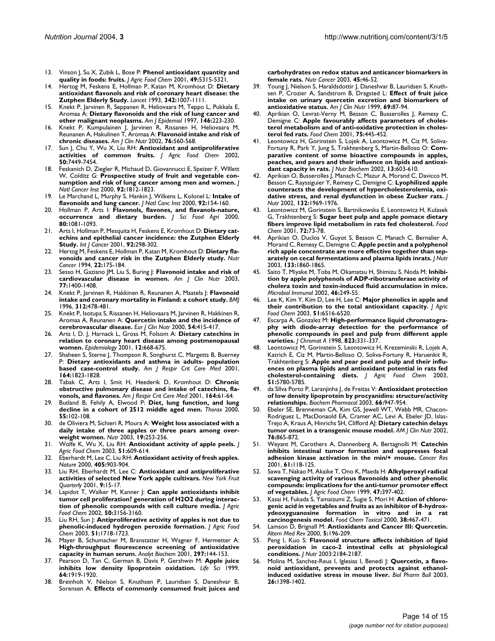- 13. Vinson J, Su X, Zubik L, Bose P: **[Phenol antioxidant quantity and](http://www.ncbi.nlm.nih.gov/entrez/query.fcgi?cmd=Retrieve&db=PubMed&dopt=Abstract&list_uids=10.1021/jf0009293) [quality in foods: fruits](http://www.ncbi.nlm.nih.gov/entrez/query.fcgi?cmd=Retrieve&db=PubMed&dopt=Abstract&list_uids=10.1021/jf0009293)[.](http://www.ncbi.nlm.nih.gov/entrez/query.fcgi?cmd=Retrieve&db=PubMed&dopt=Abstract&list_uids=11714322)** *J Agric Food Chem* 2001, **49:**5315-5321.
- 14. Hertog M, Feskens E, Hollman P, Katan M, Kromhout D: **[Dietary](http://www.ncbi.nlm.nih.gov/entrez/query.fcgi?cmd=Retrieve&db=PubMed&dopt=Abstract&list_uids=10.1016/0140-6736(93)92876-U) [antioxidant flavonols and risk of coronary heart disease: the](http://www.ncbi.nlm.nih.gov/entrez/query.fcgi?cmd=Retrieve&db=PubMed&dopt=Abstract&list_uids=10.1016/0140-6736(93)92876-U) [Zutphen Elderly Study](http://www.ncbi.nlm.nih.gov/entrez/query.fcgi?cmd=Retrieve&db=PubMed&dopt=Abstract&list_uids=10.1016/0140-6736(93)92876-U)[.](http://www.ncbi.nlm.nih.gov/entrez/query.fcgi?cmd=Retrieve&db=PubMed&dopt=Abstract&list_uids=8105262)** *Lancet* 1993, **342:**1007-1111.
- 15. Knekt P, Jarvinen R, Seppanen R, Heliovaara M, Teppo L, Pukkala E, Aromaa A: **[Dietary flavonoids and the risk of lung cancer and](http://www.ncbi.nlm.nih.gov/entrez/query.fcgi?cmd=Retrieve&db=PubMed&dopt=Abstract&list_uids=9247006) [other malignant neoplasms.](http://www.ncbi.nlm.nih.gov/entrez/query.fcgi?cmd=Retrieve&db=PubMed&dopt=Abstract&list_uids=9247006)** *Am J Epidemiol* 1997, **146:**223-230.
- 16. Knekt P, Kumpulainen J, Jarvinen R, Rissanen H, Heliovaara M, Reunanen A, Hakulinen T, Aromaa A: **[Flavonoid intake and risk of](http://www.ncbi.nlm.nih.gov/entrez/query.fcgi?cmd=Retrieve&db=PubMed&dopt=Abstract&list_uids=12198000) [chronic diseases.](http://www.ncbi.nlm.nih.gov/entrez/query.fcgi?cmd=Retrieve&db=PubMed&dopt=Abstract&list_uids=12198000)** *Am J Clin Nutr* 2002, **76:**560-568.
- 17. Sun J, Chu Y, Wu X, Liu RH: **[Antioxidant and antiproliferative](http://www.ncbi.nlm.nih.gov/entrez/query.fcgi?cmd=Retrieve&db=PubMed&dopt=Abstract&list_uids=10.1021/jf0207530) [activities of common fruits](http://www.ncbi.nlm.nih.gov/entrez/query.fcgi?cmd=Retrieve&db=PubMed&dopt=Abstract&list_uids=10.1021/jf0207530)[.](http://www.ncbi.nlm.nih.gov/entrez/query.fcgi?cmd=Retrieve&db=PubMed&dopt=Abstract&list_uids=12452674)** *J Agric Food Chem* 2002, **50:**7449-7454.
- 18. Feskanich D, Ziegler R, Michaud D, Giovannucci E, Speizer F, WIllett W, Colditz G: **[Prospective study of fruit and vegetable con](http://www.ncbi.nlm.nih.gov/entrez/query.fcgi?cmd=Retrieve&db=PubMed&dopt=Abstract&list_uids=10.1093/jnci/92.22.1812)[sumption and risk of lung cancer among men and women](http://www.ncbi.nlm.nih.gov/entrez/query.fcgi?cmd=Retrieve&db=PubMed&dopt=Abstract&list_uids=10.1093/jnci/92.22.1812)[.](http://www.ncbi.nlm.nih.gov/entrez/query.fcgi?cmd=Retrieve&db=PubMed&dopt=Abstract&list_uids=11078758)** *J Natl Cancer Inst* 2000, **92:**1812-1823.
- 19. Le Marchand L, Murphy S, Hankin J, Wilkens L, Kolonel L: **[Intake of](http://www.ncbi.nlm.nih.gov/entrez/query.fcgi?cmd=Retrieve&db=PubMed&dopt=Abstract&list_uids=10.1093/jnci/92.2.154) [flavonoids and lung cancer.](http://www.ncbi.nlm.nih.gov/entrez/query.fcgi?cmd=Retrieve&db=PubMed&dopt=Abstract&list_uids=10.1093/jnci/92.2.154)** *J Natl Canc Inst* 2000, **92:**154-160.
- 20. Hollman P, Arts I: **[Flavonols, flavones, and flavanols-nature,](http://www.ncbi.nlm.nih.gov/entrez/query.fcgi?cmd=Retrieve&db=PubMed&dopt=Abstract&list_uids=10.1002/(SICI)1097-0010(20000515)80:7<1081::AID-JSFA566>3.0.CO;2-G) [occurrence and dietary burden.](http://www.ncbi.nlm.nih.gov/entrez/query.fcgi?cmd=Retrieve&db=PubMed&dopt=Abstract&list_uids=10.1002/(SICI)1097-0010(20000515)80:7<1081::AID-JSFA566>3.0.CO;2-G)** *J Sci Food Agri* 2000, **80:**1081-1093.
- 21. Arts I, Hollman P, Mesquita H, Feskens E, Kromhout D: **[Dietary cat](http://www.ncbi.nlm.nih.gov/entrez/query.fcgi?cmd=Retrieve&db=PubMed&dopt=Abstract&list_uids=10.1002/1097-0215(200102)9999:9999<::AID-IJC1187>3.0.CO;2-8)[echins and epithelial cancer incidence: the Zutphen Elderly](http://www.ncbi.nlm.nih.gov/entrez/query.fcgi?cmd=Retrieve&db=PubMed&dopt=Abstract&list_uids=10.1002/1097-0215(200102)9999:9999<::AID-IJC1187>3.0.CO;2-8) [Study](http://www.ncbi.nlm.nih.gov/entrez/query.fcgi?cmd=Retrieve&db=PubMed&dopt=Abstract&list_uids=10.1002/1097-0215(200102)9999:9999<::AID-IJC1187>3.0.CO;2-8)[.](http://www.ncbi.nlm.nih.gov/entrez/query.fcgi?cmd=Retrieve&db=PubMed&dopt=Abstract&list_uids=11291060)** *Int J Cancer* 2001, **92:**298-302.
- 22. Hertog M, Feskens E, Hollman P, Katan M, Kromhout D: **[Dietary fla](http://www.ncbi.nlm.nih.gov/entrez/query.fcgi?cmd=Retrieve&db=PubMed&dopt=Abstract&list_uids=14502846)[vonoids and cancer risk in the Zutphen Elderly study.](http://www.ncbi.nlm.nih.gov/entrez/query.fcgi?cmd=Retrieve&db=PubMed&dopt=Abstract&list_uids=14502846)** *Nutr Cancer* 1994, **22:**175-184.
- 23. Sesso H, Gaziano JM, Liu S, Buring J: **[Flavonoid intake and risk of](http://www.ncbi.nlm.nih.gov/entrez/query.fcgi?cmd=Retrieve&db=PubMed&dopt=Abstract&list_uids=12791616) [cardiovascular disease in women.](http://www.ncbi.nlm.nih.gov/entrez/query.fcgi?cmd=Retrieve&db=PubMed&dopt=Abstract&list_uids=12791616)** *Am J Clin Nutr* 2003, **77:**1400-1408.
- 24. Knekt P, Jarvinen R, Hakkinen R, Reunanen A, Maatela J: **[Flavonoid](http://www.ncbi.nlm.nih.gov/entrez/query.fcgi?cmd=Retrieve&db=PubMed&dopt=Abstract&list_uids=8597679) [intake and coronary mortality in Finland: a cohort study.](http://www.ncbi.nlm.nih.gov/entrez/query.fcgi?cmd=Retrieve&db=PubMed&dopt=Abstract&list_uids=8597679)** *BMJ* 1996, **312:**478-481.
- 25. Knekt P, Isotupa S, Rissanen H, Heliovaara M, Jarvinen R, Hakkinen R, Aromaa A, Reunanen A: **[Quercetin intake and the incidence of](http://www.ncbi.nlm.nih.gov/entrez/query.fcgi?cmd=Retrieve&db=PubMed&dopt=Abstract&list_uids=10.1038/sj.ejcn.1600974) [cerebrovascular disease](http://www.ncbi.nlm.nih.gov/entrez/query.fcgi?cmd=Retrieve&db=PubMed&dopt=Abstract&list_uids=10.1038/sj.ejcn.1600974)[.](http://www.ncbi.nlm.nih.gov/entrez/query.fcgi?cmd=Retrieve&db=PubMed&dopt=Abstract&list_uids=10822289)** *Eur J Clin Nutr* 2000, **54:**415-417.
- 26. Arts I, D. J, Harnack L, Gross M, Folsom A: **[Dietary catechins in](http://www.ncbi.nlm.nih.gov/entrez/query.fcgi?cmd=Retrieve&db=PubMed&dopt=Abstract&list_uids=10.1097/00001648-200111000-00015) [relation to coronary heart disease among postmenopausal](http://www.ncbi.nlm.nih.gov/entrez/query.fcgi?cmd=Retrieve&db=PubMed&dopt=Abstract&list_uids=10.1097/00001648-200111000-00015) [women](http://www.ncbi.nlm.nih.gov/entrez/query.fcgi?cmd=Retrieve&db=PubMed&dopt=Abstract&list_uids=10.1097/00001648-200111000-00015)[.](http://www.ncbi.nlm.nih.gov/entrez/query.fcgi?cmd=Retrieve&db=PubMed&dopt=Abstract&list_uids=11679795)** *Epidemiology* 2001, **12:**668-675.
- 27. Shaheen S, Sterne J, Thompson R, Songhurst C, Margetts B, Buerney P: **[Dietary antioxidants and asthma in adults- population](http://www.ncbi.nlm.nih.gov/entrez/query.fcgi?cmd=Retrieve&db=PubMed&dopt=Abstract&list_uids=11734430) [based case-control study.](http://www.ncbi.nlm.nih.gov/entrez/query.fcgi?cmd=Retrieve&db=PubMed&dopt=Abstract&list_uids=11734430)** *Am J Respir Crit Care Med* 2001, **164:**1823-1828.
- 28. Tabak C, Arts I, Smit H, Heederik D, Kromhout D: **[Chronic](http://www.ncbi.nlm.nih.gov/entrez/query.fcgi?cmd=Retrieve&db=PubMed&dopt=Abstract&list_uids=11435239) [obstructive pulmonary disease and intake of catechins, fla](http://www.ncbi.nlm.nih.gov/entrez/query.fcgi?cmd=Retrieve&db=PubMed&dopt=Abstract&list_uids=11435239)[vonols, and flavones.](http://www.ncbi.nlm.nih.gov/entrez/query.fcgi?cmd=Retrieve&db=PubMed&dopt=Abstract&list_uids=11435239)** *Am J Respir Crit Care Med* 2001, **164:**61-64.
- 29. Butland B, Fehily A, Elwood P: **[Diet, lung function, and lung](http://www.ncbi.nlm.nih.gov/entrez/query.fcgi?cmd=Retrieve&db=PubMed&dopt=Abstract&list_uids=10.1136/thorax.55.2.102) [decline in a cohort of 2512 middle aged men](http://www.ncbi.nlm.nih.gov/entrez/query.fcgi?cmd=Retrieve&db=PubMed&dopt=Abstract&list_uids=10.1136/thorax.55.2.102)[.](http://www.ncbi.nlm.nih.gov/entrez/query.fcgi?cmd=Retrieve&db=PubMed&dopt=Abstract&list_uids=10639525)** *Thorax* 2000, **55:**102-108.
- 30. de Oliviera M, Sichieri R, Moura A: **[Weight loss associated with a](http://www.ncbi.nlm.nih.gov/entrez/query.fcgi?cmd=Retrieve&db=PubMed&dopt=Abstract&list_uids=10.1016/S0899-9007(02)00850-X) [daily intake of three apples or three pears among over](http://www.ncbi.nlm.nih.gov/entrez/query.fcgi?cmd=Retrieve&db=PubMed&dopt=Abstract&list_uids=10.1016/S0899-9007(02)00850-X)[weight women.](http://www.ncbi.nlm.nih.gov/entrez/query.fcgi?cmd=Retrieve&db=PubMed&dopt=Abstract&list_uids=10.1016/S0899-9007(02)00850-X)** *Nutr* 2003, **19:**253-256.
- 31. Wolfe K, Wu X, Liu RH: **[Antioxidant activity of apple peels](http://www.ncbi.nlm.nih.gov/entrez/query.fcgi?cmd=Retrieve&db=PubMed&dopt=Abstract&list_uids=10.1021/jf020782a)[.](http://www.ncbi.nlm.nih.gov/entrez/query.fcgi?cmd=Retrieve&db=PubMed&dopt=Abstract&list_uids=12537430)** *J Agric Food Chem* 2003, **51:**609-614.
- 32. Eberhardt M, Lee C, Liu RH: **[Antioxidant activity of fresh apples.](http://www.ncbi.nlm.nih.gov/entrez/query.fcgi?cmd=Retrieve&db=PubMed&dopt=Abstract&list_uids=10879522)** *Nature* 2000, **405:**903-904.
- 33. Liu RH, Eberhardt M, Lee C: **Antioxidant and antiproliferative activities of selected New York apple cultivars.** *New York Fruit Quarterly* 2001, **9:**15-17.
- 34. Lapidot T, Walker M, Kanner J: **[Can apple antioxidants inhibit](http://www.ncbi.nlm.nih.gov/entrez/query.fcgi?cmd=Retrieve&db=PubMed&dopt=Abstract&list_uids=10.1021/jf011522g) [tumor cell proliferation? generation of H2O2 during interac](http://www.ncbi.nlm.nih.gov/entrez/query.fcgi?cmd=Retrieve&db=PubMed&dopt=Abstract&list_uids=10.1021/jf011522g)[tion of phenolic compounds with cell culture media](http://www.ncbi.nlm.nih.gov/entrez/query.fcgi?cmd=Retrieve&db=PubMed&dopt=Abstract&list_uids=10.1021/jf011522g)[.](http://www.ncbi.nlm.nih.gov/entrez/query.fcgi?cmd=Retrieve&db=PubMed&dopt=Abstract&list_uids=12009979)** *J Agric Food Chem* 2002, **50:**3156-3160.
- 35. Liu RH, Sun J: **[Antiproliferative activity of apples is not due to](http://www.ncbi.nlm.nih.gov/entrez/query.fcgi?cmd=Retrieve&db=PubMed&dopt=Abstract&list_uids=10.1021/jf026162r) [phenolic-induced hydrogen peroxide formation](http://www.ncbi.nlm.nih.gov/entrez/query.fcgi?cmd=Retrieve&db=PubMed&dopt=Abstract&list_uids=10.1021/jf026162r)[.](http://www.ncbi.nlm.nih.gov/entrez/query.fcgi?cmd=Retrieve&db=PubMed&dopt=Abstract&list_uids=12617611)** *J Agric Food Chem* 2003, **51:**1718-1723.
- 36. Mayer B, Schumacher M, Branstatter H, Wagner F, Hermetter A: **[High-throughput flourescence screening of antioxidative](http://www.ncbi.nlm.nih.gov/entrez/query.fcgi?cmd=Retrieve&db=PubMed&dopt=Abstract&list_uids=10.1006/abio.2001.5333) [capacity in human serum](http://www.ncbi.nlm.nih.gov/entrez/query.fcgi?cmd=Retrieve&db=PubMed&dopt=Abstract&list_uids=10.1006/abio.2001.5333)[.](http://www.ncbi.nlm.nih.gov/entrez/query.fcgi?cmd=Retrieve&db=PubMed&dopt=Abstract&list_uids=11673881)** *Analyt Biochem* 2001, **297:**144-153.
- 37. Pearson D, Tan C, German B, Davis P, Gershwin M: **[Apple juice](http://www.ncbi.nlm.nih.gov/entrez/query.fcgi?cmd=Retrieve&db=PubMed&dopt=Abstract&list_uids=10.1016/S0024-3205(99)00137-X) [inhibits low density lipoprotein oxidation.](http://www.ncbi.nlm.nih.gov/entrez/query.fcgi?cmd=Retrieve&db=PubMed&dopt=Abstract&list_uids=10.1016/S0024-3205(99)00137-X)** *Life Sci* 1999, **64:**1919-1920.
- 38. Breinholt V, Nielson S, Knuthsen P, Lauridsen S, Daneshvar B, Sorensen A: **[Effects of commonly consumed fruit juices and](http://www.ncbi.nlm.nih.gov/entrez/query.fcgi?cmd=Retrieve&db=PubMed&dopt=Abstract&list_uids=10.1207/S15327914NC4501_6)**

**[carbohydrates on redox status and anticancer biomarkers in](http://www.ncbi.nlm.nih.gov/entrez/query.fcgi?cmd=Retrieve&db=PubMed&dopt=Abstract&list_uids=10.1207/S15327914NC4501_6) [female rats](http://www.ncbi.nlm.nih.gov/entrez/query.fcgi?cmd=Retrieve&db=PubMed&dopt=Abstract&list_uids=10.1207/S15327914NC4501_6)[.](http://www.ncbi.nlm.nih.gov/entrez/query.fcgi?cmd=Retrieve&db=PubMed&dopt=Abstract&list_uids=12791504)** *Nutr Cancer* 2003, **45:**46-52.

- 39. Young J, Nielson S, Haraldsdottir J, Daneshvar B, Lauridsen S, Knuthsen P, Crozier A, Sandstrom B, Dragsted L: **[Effect of fruit juice](http://www.ncbi.nlm.nih.gov/entrez/query.fcgi?cmd=Retrieve&db=PubMed&dopt=Abstract&list_uids=9925128) [intake on urinary quercetin excretion and biomarkers of](http://www.ncbi.nlm.nih.gov/entrez/query.fcgi?cmd=Retrieve&db=PubMed&dopt=Abstract&list_uids=9925128) [antioxidative status.](http://www.ncbi.nlm.nih.gov/entrez/query.fcgi?cmd=Retrieve&db=PubMed&dopt=Abstract&list_uids=9925128)** *Am J Clin Nutr* 1999, **69:**87-94.
- Aprikian O, Levrat-Verny M, Besson C, Busserolles J, Remesy C, Demigne C: **[Apple favourably affects parameters of choles](http://www.ncbi.nlm.nih.gov/entrez/query.fcgi?cmd=Retrieve&db=PubMed&dopt=Abstract&list_uids=10.1016/S0308-8146(01)00235-7)[terol metabolism and of anti-oxidative protection in choles](http://www.ncbi.nlm.nih.gov/entrez/query.fcgi?cmd=Retrieve&db=PubMed&dopt=Abstract&list_uids=10.1016/S0308-8146(01)00235-7)[terol fed rats.](http://www.ncbi.nlm.nih.gov/entrez/query.fcgi?cmd=Retrieve&db=PubMed&dopt=Abstract&list_uids=10.1016/S0308-8146(01)00235-7)** *Food Chem* 2001, **75:**445-452.
- 41. Leontowicz H, Gorinstein S, Lojek A, Leontowicz M, Ciz M, Soliva-Fortuny R, Park Y, Jung S, Trakhtenberg S, Martin-Belloso O: **[Com](http://www.ncbi.nlm.nih.gov/entrez/query.fcgi?cmd=Retrieve&db=PubMed&dopt=Abstract&list_uids=10.1016/S0955-2863(02)00206-1)[parative content of some bioactive compounds in apples,](http://www.ncbi.nlm.nih.gov/entrez/query.fcgi?cmd=Retrieve&db=PubMed&dopt=Abstract&list_uids=10.1016/S0955-2863(02)00206-1) peaches, and pears and their influence on lipids and antioxi[dant capacity in rats](http://www.ncbi.nlm.nih.gov/entrez/query.fcgi?cmd=Retrieve&db=PubMed&dopt=Abstract&list_uids=10.1016/S0955-2863(02)00206-1)[.](http://www.ncbi.nlm.nih.gov/entrez/query.fcgi?cmd=Retrieve&db=PubMed&dopt=Abstract&list_uids=12550072)** *J Nutr Biochem* 2002, **13:**603-610.
- 42. Aprikian O, Busserolles J, Manach C, Mazur A, Morand C, Davicco M, Besson C, Rayssiguier Y, Remesy C, Demigne C: **[Lyophilized apple](http://www.ncbi.nlm.nih.gov/entrez/query.fcgi?cmd=Retrieve&db=PubMed&dopt=Abstract&list_uids=12097678) [counteracts the development of hypercholesterolemia, oxi](http://www.ncbi.nlm.nih.gov/entrez/query.fcgi?cmd=Retrieve&db=PubMed&dopt=Abstract&list_uids=12097678)[dative stress, and renal dysfunction in obese Zucker rats.](http://www.ncbi.nlm.nih.gov/entrez/query.fcgi?cmd=Retrieve&db=PubMed&dopt=Abstract&list_uids=12097678)** *J Nutr* 2002, **132:**1969-1976.
- 43. Leontowicz M, Gorinstein S, Bartnikowska E, Leontowicz H, Kulasek G, Trakhtenberg S: **[Sugar beet pulp and apple pomace dietary](http://www.ncbi.nlm.nih.gov/entrez/query.fcgi?cmd=Retrieve&db=PubMed&dopt=Abstract&list_uids=10.1016/S0308-8146(00)00207-7) [fibers improve lipid metabolism in rats fed cholesterol.](http://www.ncbi.nlm.nih.gov/entrez/query.fcgi?cmd=Retrieve&db=PubMed&dopt=Abstract&list_uids=10.1016/S0308-8146(00)00207-7)** *Food Chem* 2001, **72:**73-78.
- 44. Aprikian O, Duclos V, Guyot S, Besson C, Manach C, Bernalier A, Morand C, Remesy C, Demigne C: **[Apple pectin and a polyphenol](http://www.ncbi.nlm.nih.gov/entrez/query.fcgi?cmd=Retrieve&db=PubMed&dopt=Abstract&list_uids=12771330) [rich apple concentrate are more effective together than sep](http://www.ncbi.nlm.nih.gov/entrez/query.fcgi?cmd=Retrieve&db=PubMed&dopt=Abstract&list_uids=12771330)[arately on cecal fermentations and plasma lipids inrats.](http://www.ncbi.nlm.nih.gov/entrez/query.fcgi?cmd=Retrieve&db=PubMed&dopt=Abstract&list_uids=12771330)** *J Nutr* 2003, **133:**1860-1865.
- 45. Saito T, Miyake M, Toba M, Okamatsu H, Shimizu S, Noda M: **[Inhibi](http://www.ncbi.nlm.nih.gov/entrez/query.fcgi?cmd=Retrieve&db=PubMed&dopt=Abstract&list_uids=12061627)[tion by apple polyphenols of ADP-ribotransferase activity of](http://www.ncbi.nlm.nih.gov/entrez/query.fcgi?cmd=Retrieve&db=PubMed&dopt=Abstract&list_uids=12061627) cholera toxin and toxin-induced fluid accumulation in mice.** *Microbiol Immunol* 2002, **46:**249-55.
- 46. Lee K, Kim Y, Kim D, Lee H, Lee C: **[Major phenolics in apple and](http://www.ncbi.nlm.nih.gov/entrez/query.fcgi?cmd=Retrieve&db=PubMed&dopt=Abstract&list_uids=10.1021/jf034475w) [their contribution to the total antioxidant capacity](http://www.ncbi.nlm.nih.gov/entrez/query.fcgi?cmd=Retrieve&db=PubMed&dopt=Abstract&list_uids=10.1021/jf034475w)[.](http://www.ncbi.nlm.nih.gov/entrez/query.fcgi?cmd=Retrieve&db=PubMed&dopt=Abstract&list_uids=14558772)** *J Agric Food Chem* 2003, **51:**6516-6520.
- 47. Escarpa A, Gonzalez M: **[High-performance liquid chromatogra](http://www.ncbi.nlm.nih.gov/entrez/query.fcgi?cmd=Retrieve&db=PubMed&dopt=Abstract&list_uids=10.1016/S0021-9673(98)00294-5)phy with diode-array detection for the performance of [phenolic compounds in peel and pulp from different apple](http://www.ncbi.nlm.nih.gov/entrez/query.fcgi?cmd=Retrieve&db=PubMed&dopt=Abstract&list_uids=10.1016/S0021-9673(98)00294-5) [varieties.](http://www.ncbi.nlm.nih.gov/entrez/query.fcgi?cmd=Retrieve&db=PubMed&dopt=Abstract&list_uids=10.1016/S0021-9673(98)00294-5)** *J Chromat A* 1998, **823:**331-337.
- Leontowicz M, Gorinstein S, Leontowicz H, Krezeminski R, Lojek A, Katrich E, Ciz M, Martin-Belloso O, Soliva-Fortuny R, Haruenkit R, Trakhtenberg S: **[Apple and pear peel and pulp and their influ](http://www.ncbi.nlm.nih.gov/entrez/query.fcgi?cmd=Retrieve&db=PubMed&dopt=Abstract&list_uids=10.1021/jf030137j)[ences on plasma lipids and antioxidant potential in rats fed](http://www.ncbi.nlm.nih.gov/entrez/query.fcgi?cmd=Retrieve&db=PubMed&dopt=Abstract&list_uids=10.1021/jf030137j) [cholesterol-containing diets](http://www.ncbi.nlm.nih.gov/entrez/query.fcgi?cmd=Retrieve&db=PubMed&dopt=Abstract&list_uids=10.1021/jf030137j)[.](http://www.ncbi.nlm.nih.gov/entrez/query.fcgi?cmd=Retrieve&db=PubMed&dopt=Abstract&list_uids=12952433)** *J Agric Food Chem* 2003, **51:**5780-5785.
- 49. da SIlva Porto P, Laranjinha J, de Freitas V: **[Antioxidant protection](http://www.ncbi.nlm.nih.gov/entrez/query.fcgi?cmd=Retrieve&db=PubMed&dopt=Abstract&list_uids=10.1016/S0006-2952(03)00458-1) [of low density lipoprotein by procyanidins: structure/activity](http://www.ncbi.nlm.nih.gov/entrez/query.fcgi?cmd=Retrieve&db=PubMed&dopt=Abstract&list_uids=10.1016/S0006-2952(03)00458-1) [relationships](http://www.ncbi.nlm.nih.gov/entrez/query.fcgi?cmd=Retrieve&db=PubMed&dopt=Abstract&list_uids=10.1016/S0006-2952(03)00458-1)[.](http://www.ncbi.nlm.nih.gov/entrez/query.fcgi?cmd=Retrieve&db=PubMed&dopt=Abstract&list_uids=12963481)** *Biochem Pharmacol* 2003, **66:**947-954.
- 50. Ebeler SE, Brenneman CA, Kim GS, Jewell WT, Webb MR, Chacon-Rodriguez L, MacDonaold EA, Cramer AC, Levi A, Ebeler JD, Islas-Trejo A, Kraus A, Hinrichs SH, Clifford AJ: **[Dietary catechin delays](http://www.ncbi.nlm.nih.gov/entrez/query.fcgi?cmd=Retrieve&db=PubMed&dopt=Abstract&list_uids=12324302) [tumor onset in a transgenic mouse model.](http://www.ncbi.nlm.nih.gov/entrez/query.fcgi?cmd=Retrieve&db=PubMed&dopt=Abstract&list_uids=12324302)** *AM J Clin Nutr* 2002, **76:**865-872.
- 51. Weyant M, Carothers A, Dannenberg A, Bertagnolli M: **[Catechin](http://www.ncbi.nlm.nih.gov/entrez/query.fcgi?cmd=Retrieve&db=PubMed&dopt=Abstract&list_uids=11196148) [inhibits intestinal tumor formation and suppresses focal](http://www.ncbi.nlm.nih.gov/entrez/query.fcgi?cmd=Retrieve&db=PubMed&dopt=Abstract&list_uids=11196148) [adhesion kinase activation in the min/+ mouse.](http://www.ncbi.nlm.nih.gov/entrez/query.fcgi?cmd=Retrieve&db=PubMed&dopt=Abstract&list_uids=11196148)** *Cancer Res* 2001, **61:**118-125.
- 52. Sawa T, Nakao M, Akaike T, Ono K, Maeda H: **[Alkylperoxyl radical](http://www.ncbi.nlm.nih.gov/entrez/query.fcgi?cmd=Retrieve&db=PubMed&dopt=Abstract&list_uids=10.1021/jf980765e) [scavenging activity of various flavonoids and other phenolic](http://www.ncbi.nlm.nih.gov/entrez/query.fcgi?cmd=Retrieve&db=PubMed&dopt=Abstract&list_uids=10.1021/jf980765e) compounds: implications for the anti-tumor promoter effect [of vegetables](http://www.ncbi.nlm.nih.gov/entrez/query.fcgi?cmd=Retrieve&db=PubMed&dopt=Abstract&list_uids=10.1021/jf980765e)[.](http://www.ncbi.nlm.nih.gov/entrez/query.fcgi?cmd=Retrieve&db=PubMed&dopt=Abstract&list_uids=10563906)** *J Agric Food Chem* 1999, **47:**397-402.
- Kasai H, Fukada S, Yamaizumi Z, Sugie S, Mori H: [Action of chloro](http://www.ncbi.nlm.nih.gov/entrez/query.fcgi?cmd=Retrieve&db=PubMed&dopt=Abstract&list_uids=10.1016/S0278-6915(00)00014-4)**[genic acid in vegetables and fruits as an inhibitor of 8-hydrox](http://www.ncbi.nlm.nih.gov/entrez/query.fcgi?cmd=Retrieve&db=PubMed&dopt=Abstract&list_uids=10.1016/S0278-6915(00)00014-4)ydeoxyguanosine formation in vitro and in a rat [carcinogenesis model](http://www.ncbi.nlm.nih.gov/entrez/query.fcgi?cmd=Retrieve&db=PubMed&dopt=Abstract&list_uids=10.1016/S0278-6915(00)00014-4)[.](http://www.ncbi.nlm.nih.gov/entrez/query.fcgi?cmd=Retrieve&db=PubMed&dopt=Abstract&list_uids=10762733)** *Food Chem Toxicol* 2000, **38:**467-471.
- 54. Lamson D, Brignall M: **[Antioxidants and Cancer III: Quercetin.](http://www.ncbi.nlm.nih.gov/entrez/query.fcgi?cmd=Retrieve&db=PubMed&dopt=Abstract&list_uids=10869101)** *Altern Med Rev* 2000, **5:**196-209.
- 55. Peng I, Kuo S: **[Flavonoid structure affects inhibition of lipid](http://www.ncbi.nlm.nih.gov/entrez/query.fcgi?cmd=Retrieve&db=PubMed&dopt=Abstract&list_uids=12840176) [peroxidation in caco-2 intestinal cells at physiological](http://www.ncbi.nlm.nih.gov/entrez/query.fcgi?cmd=Retrieve&db=PubMed&dopt=Abstract&list_uids=12840176) [conditions.](http://www.ncbi.nlm.nih.gov/entrez/query.fcgi?cmd=Retrieve&db=PubMed&dopt=Abstract&list_uids=12840176)** *J Nutr* 2003:2184-2187.
- 56. Molina M, Sanchez-Reus I, Iglesias I, Benedi J: **[Quercetin, a flavo](http://www.ncbi.nlm.nih.gov/entrez/query.fcgi?cmd=Retrieve&db=PubMed&dopt=Abstract&list_uids=10.1248/bpb.26.1398)[noid antioxidant, prevents and protects against ethanol](http://www.ncbi.nlm.nih.gov/entrez/query.fcgi?cmd=Retrieve&db=PubMed&dopt=Abstract&list_uids=10.1248/bpb.26.1398)[induced oxidative stress in mouse liver](http://www.ncbi.nlm.nih.gov/entrez/query.fcgi?cmd=Retrieve&db=PubMed&dopt=Abstract&list_uids=10.1248/bpb.26.1398)[.](http://www.ncbi.nlm.nih.gov/entrez/query.fcgi?cmd=Retrieve&db=PubMed&dopt=Abstract&list_uids=14519943)** *Biol Pharm Bull* 2003, **26:**1398-1402.